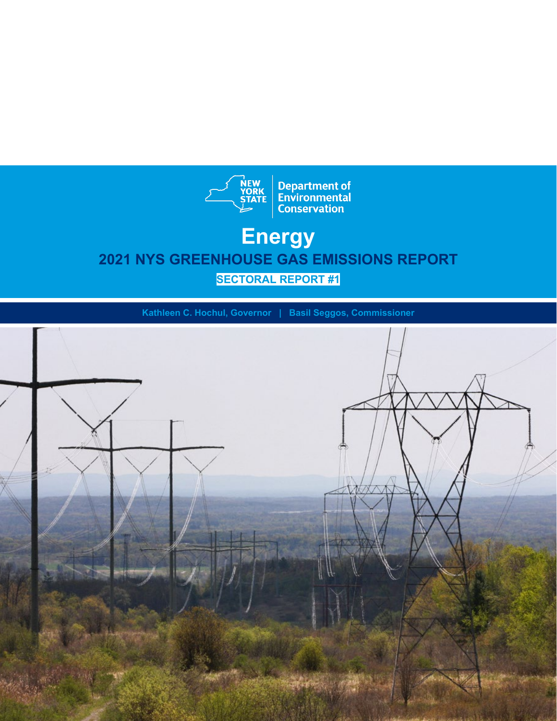

# **Energy 2021 NYS GREENHOUSE GAS EMISSIONS REPORT SECTORAL REPORT #1**

**Kathleen C. Hochul, Governor | Basil Seggos, Commissioner**

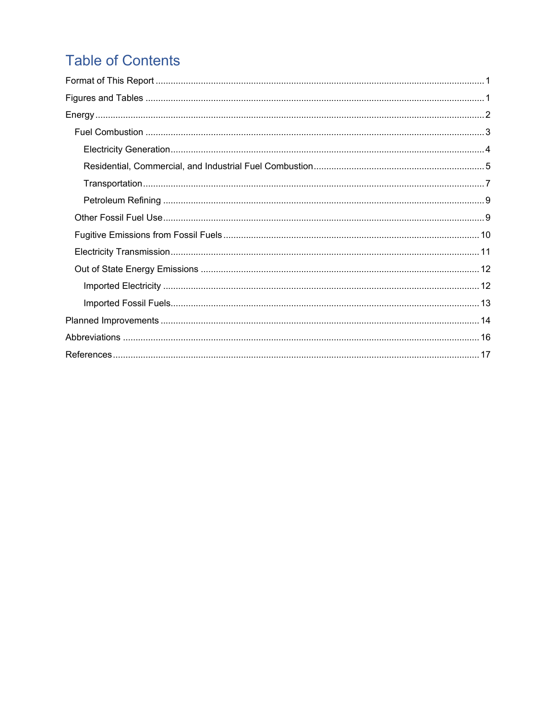# **Table of Contents**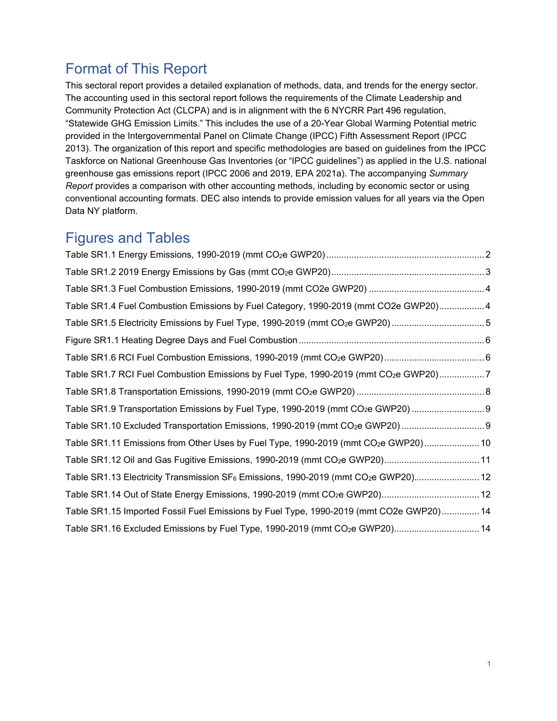# <span id="page-2-0"></span>Format of This Report

This sectoral report provides a detailed explanation of methods, data, and trends for the energy sector. The accounting used in this sectoral report follows the requirements of the Climate Leadership and Community Protection Act (CLCPA) and is in alignment with the 6 NYCRR Part 496 regulation, "Statewide GHG Emission Limits." This includes the use of a 20-Year Global Warming Potential metric provided in the Intergovernmental Panel on Climate Change (IPCC) Fifth Assessment Report (IPCC 2013). The organization of this report and specific methodologies are based on guidelines from the IPCC Taskforce on National Greenhouse Gas Inventories (or "IPCC guidelines") as applied in the U.S. national greenhouse gas emissions report (IPCC 2006 and 2019, EPA 2021a). The accompanying *Summary Report* provides a comparison with other accounting methods, including by economic sector or using conventional accounting formats. DEC also intends to provide emission values for all years via the Open Data NY platform.

# <span id="page-2-1"></span>Figures and Tables

| Table SR1.4 Fuel Combustion Emissions by Fuel Category, 1990-2019 (mmt CO2e GWP20)4                         |  |
|-------------------------------------------------------------------------------------------------------------|--|
| Table SR1.5 Electricity Emissions by Fuel Type, 1990-2019 (mmt CO <sub>2</sub> e GWP20)5                    |  |
|                                                                                                             |  |
|                                                                                                             |  |
| Table SR1.7 RCI Fuel Combustion Emissions by Fuel Type, 1990-2019 (mmt CO <sub>2</sub> e GWP20)7            |  |
|                                                                                                             |  |
| Table SR1.9 Transportation Emissions by Fuel Type, 1990-2019 (mmt CO <sub>2</sub> e GWP20)                  |  |
|                                                                                                             |  |
| Table SR1.11 Emissions from Other Uses by Fuel Type, 1990-2019 (mmt CO <sub>2</sub> e GWP20) 10             |  |
| Table SR1.12 Oil and Gas Fugitive Emissions, 1990-2019 (mmt CO <sub>2</sub> e GWP20) 11                     |  |
| Table SR1.13 Electricity Transmission SF <sub>6</sub> Emissions, 1990-2019 (mmt CO <sub>2</sub> e GWP20) 12 |  |
|                                                                                                             |  |
| Table SR1.15 Imported Fossil Fuel Emissions by Fuel Type, 1990-2019 (mmt CO2e GWP20) 14                     |  |
| Table SR1.16 Excluded Emissions by Fuel Type, 1990-2019 (mmt CO <sub>2</sub> e GWP20) 14                    |  |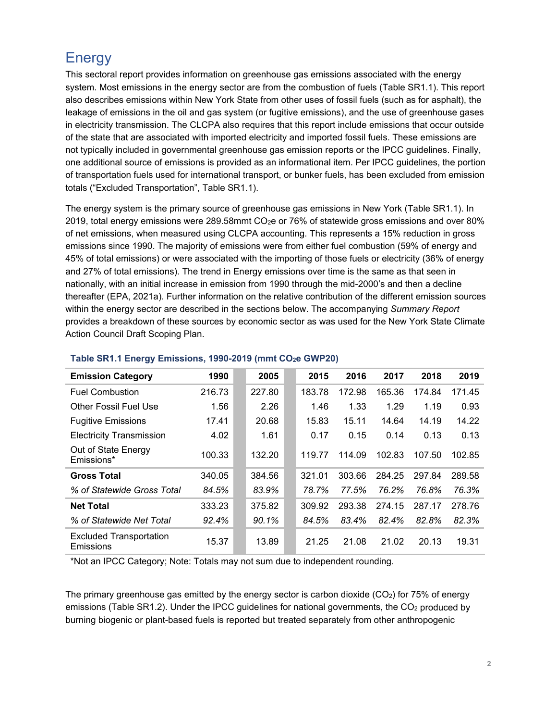# <span id="page-3-0"></span>**Energy**

This sectoral report provides information on greenhouse gas emissions associated with the energy system. Most emissions in the energy sector are from the combustion of fuels (Table SR1.1). This report also describes emissions within New York State from other uses of fossil fuels (such as for asphalt), the leakage of emissions in the oil and gas system (or fugitive emissions), and the use of greenhouse gases in electricity transmission. The CLCPA also requires that this report include emissions that occur outside of the state that are associated with imported electricity and imported fossil fuels. These emissions are not typically included in governmental greenhouse gas emission reports or the IPCC guidelines. Finally, one additional source of emissions is provided as an informational item. Per IPCC guidelines, the portion of transportation fuels used for international transport, or bunker fuels, has been excluded from emission totals ("Excluded Transportation", Table SR1.1).

The energy system is the primary source of greenhouse gas emissions in New York (Table SR1.1). In 2019, total energy emissions were 289.58mmt CO2e or 76% of statewide gross emissions and over 80% of net emissions, when measured using CLCPA accounting. This represents a 15% reduction in gross emissions since 1990. The majority of emissions were from either fuel combustion (59% of energy and 45% of total emissions) or were associated with the importing of those fuels or electricity (36% of energy and 27% of total emissions). The trend in Energy emissions over time is the same as that seen in nationally, with an initial increase in emission from 1990 through the mid-2000's and then a decline thereafter (EPA, 2021a). Further information on the relative contribution of the different emission sources within the energy sector are described in the sections below. The accompanying *Summary Report* provides a breakdown of these sources by economic sector as was used for the New York State Climate Action Council Draft Scoping Plan.

| <b>Emission Category</b>                    | 1990   | 2005   | 2015   | 2016   | 2017   | 2018   | 2019   |
|---------------------------------------------|--------|--------|--------|--------|--------|--------|--------|
| <b>Fuel Combustion</b>                      | 216.73 | 227.80 | 183.78 | 172.98 | 165.36 | 174.84 | 171.45 |
| <b>Other Fossil Fuel Use</b>                | 1.56   | 2.26   | 1.46   | 1.33   | 1.29   | 1.19   | 0.93   |
| <b>Fugitive Emissions</b>                   | 17.41  | 20.68  | 15.83  | 15.11  | 14.64  | 14.19  | 14.22  |
| <b>Electricity Transmission</b>             | 4.02   | 1.61   | 0.17   | 0.15   | 0.14   | 0.13   | 0.13   |
| Out of State Energy<br>Emissions*           | 100.33 | 132.20 | 119.77 | 114.09 | 102.83 | 107.50 | 102.85 |
| <b>Gross Total</b>                          | 340.05 | 384.56 | 321.01 | 303.66 | 284.25 | 297.84 | 289.58 |
| % of Statewide Gross Total                  | 84.5%  | 83.9%  | 78.7%  | 77.5%  | 76.2%  | 76.8%  | 76.3%  |
| <b>Net Total</b>                            | 333.23 | 375.82 | 309.92 | 293.38 | 274.15 | 287.17 | 278.76 |
| % of Statewide Net Total                    | 92.4%  | 90.1%  | 84.5%  | 83.4%  | 82.4%  | 82.8%  | 82.3%  |
| <b>Excluded Transportation</b><br>Emissions | 15.37  | 13.89  | 21.25  | 21.08  | 21.02  | 20.13  | 19.31  |

#### <span id="page-3-1"></span>Table SR1.1 Energy Emissions, 1990-2019 (mmt CO<sub>2</sub>e GWP20)

\*Not an IPCC Category; Note: Totals may not sum due to independent rounding.

The primary greenhouse gas emitted by the energy sector is carbon dioxide  $(CO<sub>2</sub>)$  for 75% of energy emissions (Table SR1.2). Under the IPCC guidelines for national governments, the CO<sub>2</sub> produced by burning biogenic or plant-based fuels is reported but treated separately from other anthropogenic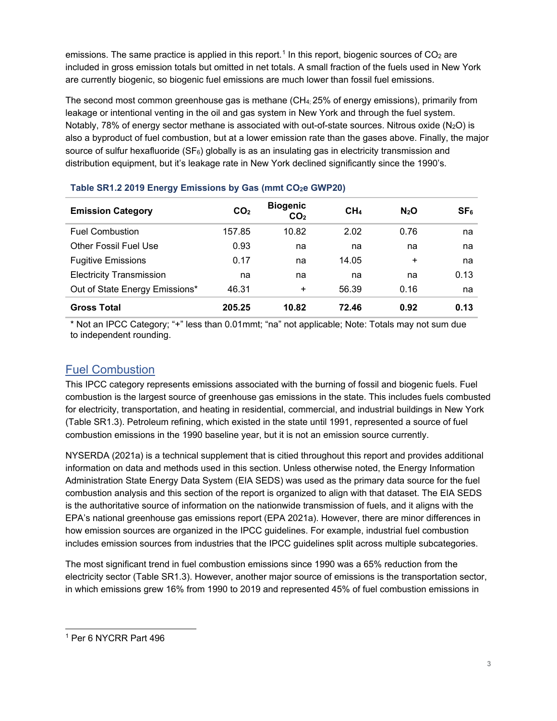emissions. The same practice is applied in this report.<sup>[1](#page-4-2)</sup> In this report, biogenic sources of  $CO<sub>2</sub>$  are included in gross emission totals but omitted in net totals. A small fraction of the fuels used in New York are currently biogenic, so biogenic fuel emissions are much lower than fossil fuel emissions.

The second most common greenhouse gas is methane  $\text{CH}_4$ : 25% of energy emissions), primarily from leakage or intentional venting in the oil and gas system in New York and through the fuel system. Notably, 78% of energy sector methane is associated with out-of-state sources. Nitrous oxide ( $N_2O$ ) is also a byproduct of fuel combustion, but at a lower emission rate than the gases above. Finally, the major source of sulfur hexafluoride  $(SF_6)$  globally is as an insulating gas in electricity transmission and distribution equipment, but it's leakage rate in New York declined significantly since the 1990's.

| <b>Emission Category</b>        | CO <sub>2</sub> | <b>Biogenic</b><br>CO <sub>2</sub> | CH <sub>4</sub> | N <sub>2</sub> O | SF <sub>6</sub> |
|---------------------------------|-----------------|------------------------------------|-----------------|------------------|-----------------|
| <b>Fuel Combustion</b>          | 157.85          | 10.82                              | 2.02            | 0.76             | na              |
| <b>Other Fossil Fuel Use</b>    | 0.93            | na                                 | na              | na               | na              |
| <b>Fugitive Emissions</b>       | 0.17            | na                                 | 14.05           | ÷                | na              |
| <b>Electricity Transmission</b> | na              | na                                 | na              | na               | 0.13            |
| Out of State Energy Emissions*  | 46.31           | $\ddot{}$                          | 56.39           | 0.16             | na              |
| <b>Gross Total</b>              | 205.25          | 10.82                              | 72.46           | 0.92             | 0.13            |

#### <span id="page-4-1"></span>Table SR1.2 2019 Energy Emissions by Gas (mmt CO<sub>2</sub>e GWP20)

\* Not an IPCC Category; "+" less than 0.01mmt; "na" not applicable; Note: Totals may not sum due to independent rounding.

# <span id="page-4-0"></span>Fuel Combustion

This IPCC category represents emissions associated with the burning of fossil and biogenic fuels. Fuel combustion is the largest source of greenhouse gas emissions in the state. This includes fuels combusted for electricity, transportation, and heating in residential, commercial, and industrial buildings in New York (Table SR1.3). Petroleum refining, which existed in the state until 1991, represented a source of fuel combustion emissions in the 1990 baseline year, but it is not an emission source currently.

NYSERDA (2021a) is a technical supplement that is citied throughout this report and provides additional information on data and methods used in this section. Unless otherwise noted, the Energy Information Administration State Energy Data System (EIA SEDS) was used as the primary data source for the fuel combustion analysis and this section of the report is organized to align with that dataset. The EIA SEDS is the authoritative source of information on the nationwide transmission of fuels, and it aligns with the EPA's national greenhouse gas emissions report (EPA 2021a). However, there are minor differences in how emission sources are organized in the IPCC guidelines. For example, industrial fuel combustion includes emission sources from industries that the IPCC guidelines split across multiple subcategories.

The most significant trend in fuel combustion emissions since 1990 was a 65% reduction from the electricity sector (Table SR1.3). However, another major source of emissions is the transportation sector, in which emissions grew 16% from 1990 to 2019 and represented 45% of fuel combustion emissions in

<span id="page-4-2"></span><sup>1</sup> Per 6 NYCRR Part 496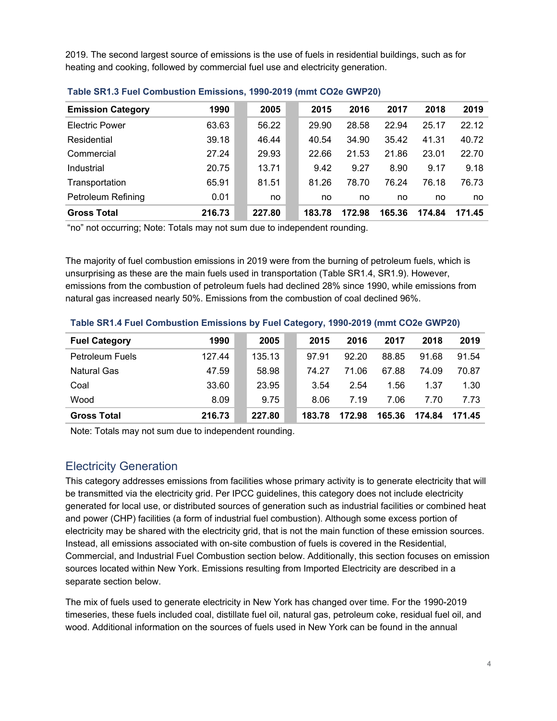2019. The second largest source of emissions is the use of fuels in residential buildings, such as for heating and cooking, followed by commercial fuel use and electricity generation.

| <b>Emission Category</b>  | 1990   | 2005   | 2015   | 2016   | 2017   | 2018   | 2019   |
|---------------------------|--------|--------|--------|--------|--------|--------|--------|
| <b>Electric Power</b>     | 63.63  | 56.22  | 29.90  | 28.58  | 22.94  | 25.17  | 22.12  |
| Residential               | 39.18  | 46.44  | 40.54  | 34.90  | 35.42  | 41.31  | 40.72  |
| Commercial                | 27.24  | 29.93  | 22.66  | 21.53  | 21.86  | 23.01  | 22.70  |
| Industrial                | 20.75  | 13.71  | 9.42   | 9.27   | 8.90   | 9.17   | 9.18   |
| Transportation            | 65.91  | 81.51  | 81.26  | 78.70  | 76.24  | 76.18  | 76.73  |
| <b>Petroleum Refining</b> | 0.01   | no     | no     | no     | no     | no     | no     |
| <b>Gross Total</b>        | 216.73 | 227.80 | 183.78 | 172.98 | 165.36 | 174.84 | 171.45 |

#### <span id="page-5-1"></span>**Table SR1.3 Fuel Combustion Emissions, 1990-2019 (mmt CO2e GWP20)**

"no" not occurring; Note: Totals may not sum due to independent rounding.

The majority of fuel combustion emissions in 2019 were from the burning of petroleum fuels, which is unsurprising as these are the main fuels used in transportation (Table SR1.4, SR1.9). However, emissions from the combustion of petroleum fuels had declined 28% since 1990, while emissions from natural gas increased nearly 50%. Emissions from the combustion of coal declined 96%.

| <b>Fuel Category</b>   | 1990   | 2005   | 2015   | 2016   | 2017   | 2018   | 2019   |
|------------------------|--------|--------|--------|--------|--------|--------|--------|
| <b>Petroleum Fuels</b> | 127.44 | 135.13 | 97.91  | 92.20  | 88.85  | 91.68  | 91.54  |
| <b>Natural Gas</b>     | 47.59  | 58.98  | 74 27  | 71.06  | 67.88  | 74.09  | 70.87  |
| Coal                   | 33.60  | 23.95  | 3.54   | 2.54   | 1.56   | 1.37   | 1.30   |
| Wood                   | 8.09   | 9.75   | 8.06   | 7.19   | 7.06   | 7.70   | 7.73   |
| <b>Gross Total</b>     | 216.73 | 227.80 | 183.78 | 172.98 | 165.36 | 174.84 | 171.45 |

#### <span id="page-5-2"></span>**Table SR1.4 Fuel Combustion Emissions by Fuel Category, 1990-2019 (mmt CO2e GWP20)**

Note: Totals may not sum due to independent rounding.

#### <span id="page-5-0"></span>Electricity Generation

This category addresses emissions from facilities whose primary activity is to generate electricity that will be transmitted via the electricity grid. Per IPCC guidelines, this category does not include electricity generated for local use, or distributed sources of generation such as industrial facilities or combined heat and power (CHP) facilities (a form of industrial fuel combustion). Although some excess portion of electricity may be shared with the electricity grid, that is not the main function of these emission sources. Instead, all emissions associated with on-site combustion of fuels is covered in the Residential, Commercial, and Industrial Fuel Combustion section below. Additionally, this section focuses on emission sources located within New York. Emissions resulting from Imported Electricity are described in a separate section below.

The mix of fuels used to generate electricity in New York has changed over time. For the 1990-2019 timeseries, these fuels included coal, distillate fuel oil, natural gas, petroleum coke, residual fuel oil, and wood. Additional information on the sources of fuels used in New York can be found in the annual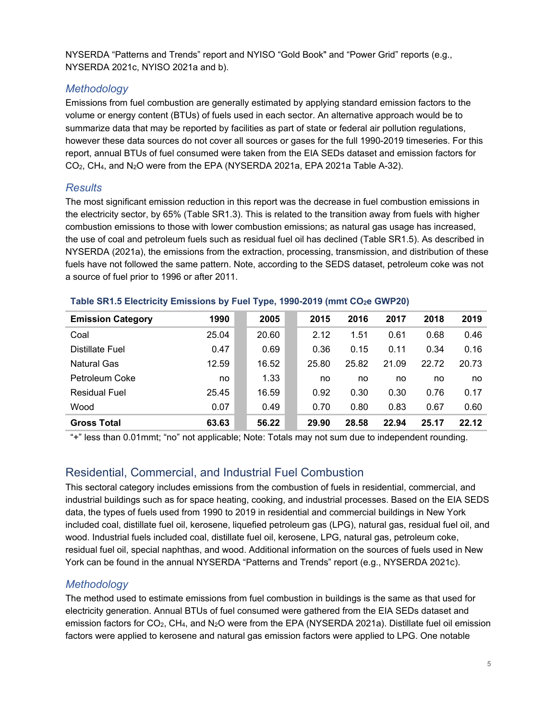NYSERDA "Patterns and Trends" report and NYISO "Gold Book" and "Power Grid" reports (e.g., NYSERDA 2021c, NYISO 2021a and b).

## *Methodology*

Emissions from fuel combustion are generally estimated by applying standard emission factors to the volume or energy content (BTUs) of fuels used in each sector. An alternative approach would be to summarize data that may be reported by facilities as part of state or federal air pollution regulations, however these data sources do not cover all sources or gases for the full 1990-2019 timeseries. For this report, annual BTUs of fuel consumed were taken from the EIA SEDs dataset and emission factors for CO2, CH4, and N2O were from the EPA (NYSERDA 2021a, EPA 2021a Table A-32).

# *Results*

The most significant emission reduction in this report was the decrease in fuel combustion emissions in the electricity sector, by 65% (Table SR1.3). This is related to the transition away from fuels with higher combustion emissions to those with lower combustion emissions; as natural gas usage has increased, the use of coal and petroleum fuels such as residual fuel oil has declined (Table SR1.5). As described in NYSERDA (2021a), the emissions from the extraction, processing, transmission, and distribution of these fuels have not followed the same pattern. Note, according to the SEDS dataset, petroleum coke was not a source of fuel prior to 1996 or after 2011.

| <b>Emission Category</b> | 1990  | 2005  | 2015  | 2016  | 2017  | 2018  | 2019  |
|--------------------------|-------|-------|-------|-------|-------|-------|-------|
| Coal                     | 25.04 | 20.60 | 2.12  | 1.51  | 0.61  | 0.68  | 0.46  |
| Distillate Fuel          | 0.47  | 0.69  | 0.36  | 0.15  | 0.11  | 0.34  | 0.16  |
| <b>Natural Gas</b>       | 12.59 | 16.52 | 25.80 | 25.82 | 21.09 | 22.72 | 20.73 |
| Petroleum Coke           | no    | 1.33  | no    | no    | no    | no    | no    |
| <b>Residual Fuel</b>     | 25.45 | 16.59 | 0.92  | 0.30  | 0.30  | 0.76  | 0.17  |
| Wood                     | 0.07  | 0.49  | 0.70  | 0.80  | 0.83  | 0.67  | 0.60  |
| <b>Gross Total</b>       | 63.63 | 56.22 | 29.90 | 28.58 | 22.94 | 25.17 | 22.12 |

#### <span id="page-6-1"></span>**Table SR1.5 Electricity Emissions by Fuel Type, 1990-2019 (mmt CO2e GWP20)**

"+" less than 0.01mmt; "no" not applicable; Note: Totals may not sum due to independent rounding.

# <span id="page-6-0"></span>Residential, Commercial, and Industrial Fuel Combustion

This sectoral category includes emissions from the combustion of fuels in residential, commercial, and industrial buildings such as for space heating, cooking, and industrial processes. Based on the EIA SEDS data, the types of fuels used from 1990 to 2019 in residential and commercial buildings in New York included coal, distillate fuel oil, kerosene, liquefied petroleum gas (LPG), natural gas, residual fuel oil, and wood. Industrial fuels included coal, distillate fuel oil, kerosene, LPG, natural gas, petroleum coke, residual fuel oil, special naphthas, and wood. Additional information on the sources of fuels used in New York can be found in the annual NYSERDA "Patterns and Trends" report (e.g., NYSERDA 2021c).

# *Methodology*

The method used to estimate emissions from fuel combustion in buildings is the same as that used for electricity generation. Annual BTUs of fuel consumed were gathered from the EIA SEDs dataset and emission factors for CO<sub>2</sub>, CH<sub>4</sub>, and N<sub>2</sub>O were from the EPA (NYSERDA 2021a). Distillate fuel oil emission factors were applied to kerosene and natural gas emission factors were applied to LPG. One notable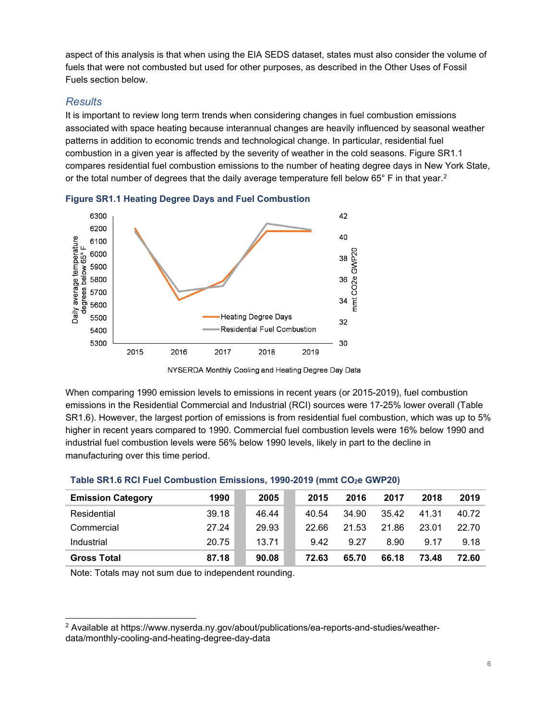aspect of this analysis is that when using the EIA SEDS dataset, states must also consider the volume of fuels that were not combusted but used for other purposes, as described in the Other Uses of Fossil Fuels section below.

#### *Results*

It is important to review long term trends when considering changes in fuel combustion emissions associated with space heating because interannual changes are heavily influenced by seasonal weather patterns in addition to economic trends and technological change. In particular, residential fuel combustion in a given year is affected by the severity of weather in the cold seasons. Figure SR1.1 compares residential fuel combustion emissions to the number of heating degree days in New York State, or the total number of degrees that the daily average temperature fell below 65° F in that year. $^{\rm 2}$  $^{\rm 2}$  $^{\rm 2}$ 



<span id="page-7-0"></span>**Figure SR1.1 Heating Degree Days and Fuel Combustion**

When comparing 1990 emission levels to emissions in recent years (or 2015-2019), fuel combustion emissions in the Residential Commercial and Industrial (RCI) sources were 17-25% lower overall (Table SR1.6). However, the largest portion of emissions is from residential fuel combustion, which was up to 5% higher in recent years compared to 1990. Commercial fuel combustion levels were 16% below 1990 and industrial fuel combustion levels were 56% below 1990 levels, likely in part to the decline in manufacturing over this time period.

| <b>Emission Category</b> | 1990  | 2005  | 2015  | 2016  | 2017  | 2018  | 2019  |
|--------------------------|-------|-------|-------|-------|-------|-------|-------|
| Residential              | 39.18 | 46.44 | 40.54 | 34.90 | 35.42 | 41.31 | 40.72 |
| Commercial               | 27.24 | 29.93 | 22.66 | 21.53 | 21.86 | 23.01 | 22.70 |
| Industrial               | 20.75 | 13.71 | 9.42  | 9.27  | 8.90  | 9.17  | 9.18  |
| <b>Gross Total</b>       | 87.18 | 90.08 | 72.63 | 65.70 | 66.18 | 73.48 | 72.60 |

#### <span id="page-7-1"></span>**Table SR1.6 RCI Fuel Combustion Emissions, 1990-2019 (mmt CO2e GWP20)**

Note: Totals may not sum due to independent rounding.

NYSERDA Monthly Cooling and Heating Degree Day Data

<span id="page-7-2"></span><sup>2</sup> Available at https://www.nyserda.ny.gov/about/publications/ea-reports-and-studies/weatherdata/monthly-cooling-and-heating-degree-day-data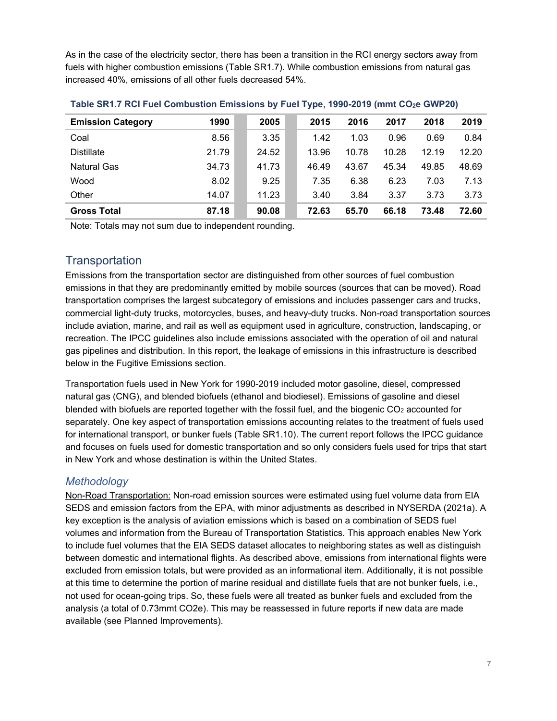As in the case of the electricity sector, there has been a transition in the RCI energy sectors away from fuels with higher combustion emissions (Table SR1.7). While combustion emissions from natural gas increased 40%, emissions of all other fuels decreased 54%.

| <b>Emission Category</b> | 1990  | 2005  | 2015  | 2016  | 2017  | 2018  | 2019  |
|--------------------------|-------|-------|-------|-------|-------|-------|-------|
| Coal                     | 8.56  | 3.35  | 1.42  | 1.03  | 0.96  | 0.69  | 0.84  |
| <b>Distillate</b>        | 21.79 | 24.52 | 13.96 | 10.78 | 10.28 | 12.19 | 12.20 |
| <b>Natural Gas</b>       | 34.73 | 41.73 | 46.49 | 43.67 | 45.34 | 49.85 | 48.69 |
| Wood                     | 8.02  | 9.25  | 7.35  | 6.38  | 6.23  | 7.03  | 7.13  |
| Other                    | 14.07 | 11.23 | 3.40  | 3.84  | 3.37  | 3.73  | 3.73  |
| <b>Gross Total</b>       | 87.18 | 90.08 | 72.63 | 65.70 | 66.18 | 73.48 | 72.60 |

<span id="page-8-1"></span>**Table SR1.7 RCI Fuel Combustion Emissions by Fuel Type, 1990-2019 (mmt CO2e GWP20)**

Note: Totals may not sum due to independent rounding.

#### <span id="page-8-0"></span>**Transportation**

Emissions from the transportation sector are distinguished from other sources of fuel combustion emissions in that they are predominantly emitted by mobile sources (sources that can be moved). Road transportation comprises the largest subcategory of emissions and includes passenger cars and trucks, commercial light-duty trucks, motorcycles, buses, and heavy-duty trucks. Non-road transportation sources include aviation, marine, and rail as well as equipment used in agriculture, construction, landscaping, or recreation. The IPCC guidelines also include emissions associated with the operation of oil and natural gas pipelines and distribution. In this report, the leakage of emissions in this infrastructure is described below in the Fugitive Emissions section.

Transportation fuels used in New York for 1990-2019 included motor gasoline, diesel, compressed natural gas (CNG), and blended biofuels (ethanol and biodiesel). Emissions of gasoline and diesel blended with biofuels are reported together with the fossil fuel, and the biogenic  $CO<sub>2</sub>$  accounted for separately. One key aspect of transportation emissions accounting relates to the treatment of fuels used for international transport, or bunker fuels (Table SR1.10). The current report follows the IPCC guidance and focuses on fuels used for domestic transportation and so only considers fuels used for trips that start in New York and whose destination is within the United States.

#### *Methodology*

Non-Road Transportation: Non-road emission sources were estimated using fuel volume data from EIA SEDS and emission factors from the EPA, with minor adjustments as described in NYSERDA (2021a). A key exception is the analysis of aviation emissions which is based on a combination of SEDS fuel volumes and information from the Bureau of Transportation Statistics. This approach enables New York to include fuel volumes that the EIA SEDS dataset allocates to neighboring states as well as distinguish between domestic and international flights. As described above, emissions from international flights were excluded from emission totals, but were provided as an informational item. Additionally, it is not possible at this time to determine the portion of marine residual and distillate fuels that are not bunker fuels, i.e., not used for ocean-going trips. So, these fuels were all treated as bunker fuels and excluded from the analysis (a total of 0.73mmt CO2e). This may be reassessed in future reports if new data are made available (see Planned Improvements).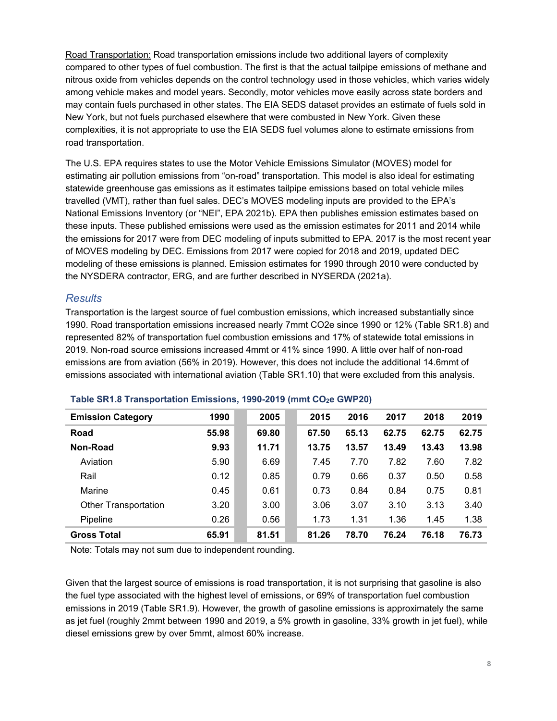Road Transportation: Road transportation emissions include two additional layers of complexity compared to other types of fuel combustion. The first is that the actual tailpipe emissions of methane and nitrous oxide from vehicles depends on the control technology used in those vehicles, which varies widely among vehicle makes and model years. Secondly, motor vehicles move easily across state borders and may contain fuels purchased in other states. The EIA SEDS dataset provides an estimate of fuels sold in New York, but not fuels purchased elsewhere that were combusted in New York. Given these complexities, it is not appropriate to use the EIA SEDS fuel volumes alone to estimate emissions from road transportation.

The U.S. EPA requires states to use the Motor Vehicle Emissions Simulator (MOVES) model for estimating air pollution emissions from "on-road" transportation. This model is also ideal for estimating statewide greenhouse gas emissions as it estimates tailpipe emissions based on total vehicle miles travelled (VMT), rather than fuel sales. DEC's MOVES modeling inputs are provided to the EPA's National Emissions Inventory (or "NEI", EPA 2021b). EPA then publishes emission estimates based on these inputs. These published emissions were used as the emission estimates for 2011 and 2014 while the emissions for 2017 were from DEC modeling of inputs submitted to EPA. 2017 is the most recent year of MOVES modeling by DEC. Emissions from 2017 were copied for 2018 and 2019, updated DEC modeling of these emissions is planned. Emission estimates for 1990 through 2010 were conducted by the NYSDERA contractor, ERG, and are further described in NYSERDA (2021a).

#### *Results*

Transportation is the largest source of fuel combustion emissions, which increased substantially since 1990. Road transportation emissions increased nearly 7mmt CO2e since 1990 or 12% (Table SR1.8) and represented 82% of transportation fuel combustion emissions and 17% of statewide total emissions in 2019. Non-road source emissions increased 4mmt or 41% since 1990. A little over half of non-road emissions are from aviation (56% in 2019). However, this does not include the additional 14.6mmt of emissions associated with international aviation (Table SR1.10) that were excluded from this analysis.

| <b>Emission Category</b>    | 1990  | 2005  | 2015  | 2016  | 2017  | 2018  | 2019  |
|-----------------------------|-------|-------|-------|-------|-------|-------|-------|
| Road                        | 55.98 | 69.80 | 67.50 | 65.13 | 62.75 | 62.75 | 62.75 |
| Non-Road                    | 9.93  | 11.71 | 13.75 | 13.57 | 13.49 | 13.43 | 13.98 |
| Aviation                    | 5.90  | 6.69  | 7.45  | 7.70  | 7.82  | 7.60  | 7.82  |
| Rail                        | 0.12  | 0.85  | 0.79  | 0.66  | 0.37  | 0.50  | 0.58  |
| Marine                      | 0.45  | 0.61  | 0.73  | 0.84  | 0.84  | 0.75  | 0.81  |
| <b>Other Transportation</b> | 3.20  | 3.00  | 3.06  | 3.07  | 3.10  | 3.13  | 3.40  |
| Pipeline                    | 0.26  | 0.56  | 1.73  | 1.31  | 1.36  | 1.45  | 1.38  |
| <b>Gross Total</b>          | 65.91 | 81.51 | 81.26 | 78.70 | 76.24 | 76.18 | 76.73 |

#### <span id="page-9-0"></span>Table SR1.8 Transportation Emissions, 1990-2019 (mmt CO<sub>2</sub>e GWP20)

Note: Totals may not sum due to independent rounding.

Given that the largest source of emissions is road transportation, it is not surprising that gasoline is also the fuel type associated with the highest level of emissions, or 69% of transportation fuel combustion emissions in 2019 (Table SR1.9). However, the growth of gasoline emissions is approximately the same as jet fuel (roughly 2mmt between 1990 and 2019, a 5% growth in gasoline, 33% growth in jet fuel), while diesel emissions grew by over 5mmt, almost 60% increase.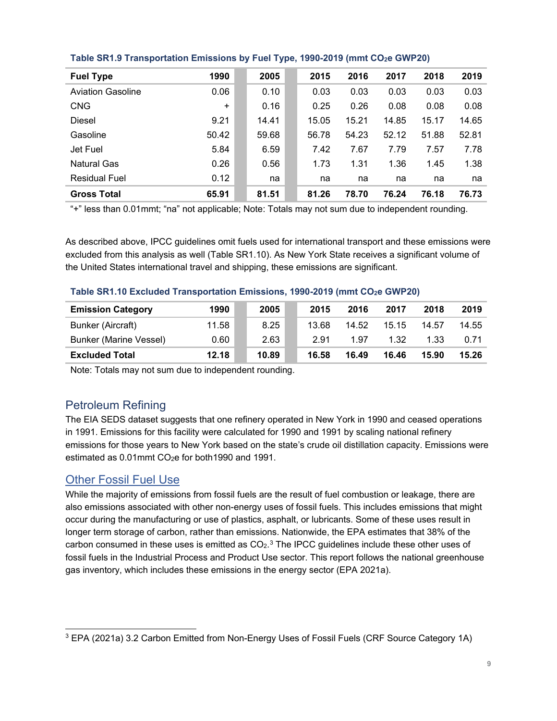| <b>Fuel Type</b>         | 1990      | 2005  | 2015  | 2016  | 2017  | 2018  | 2019  |
|--------------------------|-----------|-------|-------|-------|-------|-------|-------|
| <b>Aviation Gasoline</b> | 0.06      | 0.10  | 0.03  | 0.03  | 0.03  | 0.03  | 0.03  |
| <b>CNG</b>               | $\ddot{}$ | 0.16  | 0.25  | 0.26  | 0.08  | 0.08  | 0.08  |
| Diesel                   | 9.21      | 14.41 | 15.05 | 15.21 | 14.85 | 15.17 | 14.65 |
| Gasoline                 | 50.42     | 59.68 | 56.78 | 54.23 | 52.12 | 51.88 | 52.81 |
| Jet Fuel                 | 5.84      | 6.59  | 7.42  | 7.67  | 7.79  | 7.57  | 7.78  |
| <b>Natural Gas</b>       | 0.26      | 0.56  | 1.73  | 1.31  | 1.36  | 1.45  | 1.38  |
| <b>Residual Fuel</b>     | 0.12      | na    | na    | na    | na    | na    | na    |
| <b>Gross Total</b>       | 65.91     | 81.51 | 81.26 | 78.70 | 76.24 | 76.18 | 76.73 |

<span id="page-10-2"></span>**Table SR1.9 Transportation Emissions by Fuel Type, 1990-2019 (mmt CO2e GWP20)**

"+" less than 0.01mmt; "na" not applicable; Note: Totals may not sum due to independent rounding.

As described above, IPCC guidelines omit fuels used for international transport and these emissions were excluded from this analysis as well (Table SR1.10). As New York State receives a significant volume of the United States international travel and shipping, these emissions are significant.

#### <span id="page-10-3"></span>**Table SR1.10 Excluded Transportation Emissions, 1990-2019 (mmt CO2e GWP20)**

| <b>Emission Category</b>      | 1990  | 2005  | 2015  | 2016  | 2017  | 2018  | 2019  |
|-------------------------------|-------|-------|-------|-------|-------|-------|-------|
| Bunker (Aircraft)             | 11.58 | 8.25  | 13.68 | 14.52 | 15.15 | 14.57 | 14.55 |
| <b>Bunker (Marine Vessel)</b> | 0.60  | 2.63  | 2.91  | 1.97  | 1.32  | 1.33  | 0.71  |
| <b>Excluded Total</b>         | 12.18 | 10.89 | 16.58 | 16.49 | 16.46 | 15.90 | 15.26 |

Note: Totals may not sum due to independent rounding.

# <span id="page-10-0"></span>Petroleum Refining

The EIA SEDS dataset suggests that one refinery operated in New York in 1990 and ceased operations in 1991. Emissions for this facility were calculated for 1990 and 1991 by scaling national refinery emissions for those years to New York based on the state's crude oil distillation capacity. Emissions were estimated as  $0.01$ mmt CO<sub>2</sub>e for both 1990 and 1991.

## <span id="page-10-1"></span>Other Fossil Fuel Use

While the majority of emissions from fossil fuels are the result of fuel combustion or leakage, there are also emissions associated with other non-energy uses of fossil fuels. This includes emissions that might occur during the manufacturing or use of plastics, asphalt, or lubricants. Some of these uses result in longer term storage of carbon, rather than emissions. Nationwide, the EPA estimates that 38% of the carbon consumed in these uses is emitted as  $CO<sub>2</sub>$ .<sup>[3](#page-10-4)</sup> The IPCC guidelines include these other uses of fossil fuels in the Industrial Process and Product Use sector. This report follows the national greenhouse gas inventory, which includes these emissions in the energy sector (EPA 2021a).

<span id="page-10-4"></span><sup>&</sup>lt;sup>3</sup> EPA (2021a) 3.2 Carbon Emitted from Non-Energy Uses of Fossil Fuels (CRF Source Category 1A)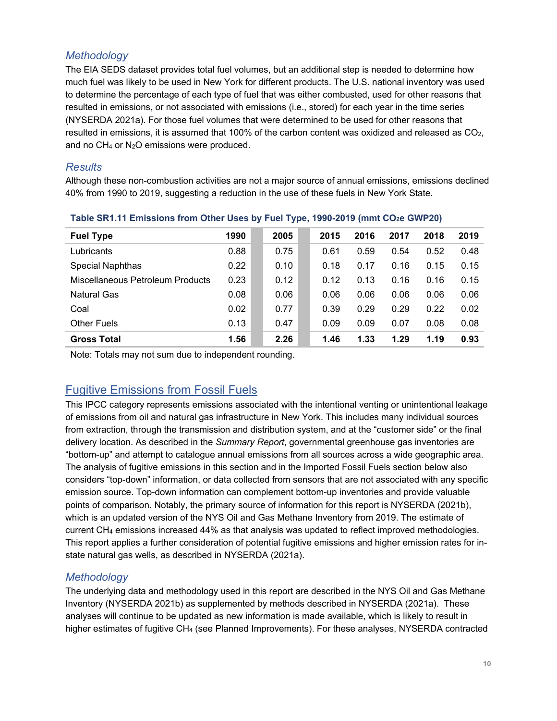# *Methodology*

The EIA SEDS dataset provides total fuel volumes, but an additional step is needed to determine how much fuel was likely to be used in New York for different products. The U.S. national inventory was used to determine the percentage of each type of fuel that was either combusted, used for other reasons that resulted in emissions, or not associated with emissions (i.e., stored) for each year in the time series (NYSERDA 2021a). For those fuel volumes that were determined to be used for other reasons that resulted in emissions, it is assumed that 100% of the carbon content was oxidized and released as  $CO<sub>2</sub>$ , and no CH4 or N2O emissions were produced.

#### *Results*

Although these non-combustion activities are not a major source of annual emissions, emissions declined 40% from 1990 to 2019, suggesting a reduction in the use of these fuels in New York State.

| <b>Fuel Type</b>                 | 1990 | 2005 | 2015 | 2016 | 2017 | 2018 | 2019 |
|----------------------------------|------|------|------|------|------|------|------|
| Lubricants                       | 0.88 | 0.75 | 0.61 | 0.59 | 0.54 | 0.52 | 0.48 |
| Special Naphthas                 | 0.22 | 0.10 | 0.18 | 0.17 | 0.16 | 0.15 | 0.15 |
| Miscellaneous Petroleum Products | 0.23 | 0.12 | 0.12 | 0.13 | 0.16 | 0.16 | 0.15 |
| <b>Natural Gas</b>               | 0.08 | 0.06 | 0.06 | 0.06 | 0.06 | 0.06 | 0.06 |
| Coal                             | 0.02 | 0.77 | 0.39 | 0.29 | 0.29 | 0.22 | 0.02 |
| Other Fuels                      | 0.13 | 0.47 | 0.09 | 0.09 | 0.07 | 0.08 | 0.08 |
| <b>Gross Total</b>               | 1.56 | 2.26 | 1.46 | 1.33 | 1.29 | 1.19 | 0.93 |

#### <span id="page-11-1"></span>**Table SR1.11 Emissions from Other Uses by Fuel Type, 1990-2019 (mmt CO2e GWP20)**

Note: Totals may not sum due to independent rounding.

# <span id="page-11-0"></span>Fugitive Emissions from Fossil Fuels

This IPCC category represents emissions associated with the intentional venting or unintentional leakage of emissions from oil and natural gas infrastructure in New York. This includes many individual sources from extraction, through the transmission and distribution system, and at the "customer side" or the final delivery location. As described in the *Summary Report*, governmental greenhouse gas inventories are "bottom-up" and attempt to catalogue annual emissions from all sources across a wide geographic area. The analysis of fugitive emissions in this section and in the Imported Fossil Fuels section below also considers "top-down" information, or data collected from sensors that are not associated with any specific emission source. Top-down information can complement bottom-up inventories and provide valuable points of comparison. Notably, the primary source of information for this report is NYSERDA (2021b), which is an updated version of the NYS Oil and Gas Methane Inventory from 2019. The estimate of current CH4 emissions increased 44% as that analysis was updated to reflect improved methodologies. This report applies a further consideration of potential fugitive emissions and higher emission rates for instate natural gas wells, as described in NYSERDA (2021a).

## *Methodology*

The underlying data and methodology used in this report are described in the NYS Oil and Gas Methane Inventory (NYSERDA 2021b) as supplemented by methods described in NYSERDA (2021a). These analyses will continue to be updated as new information is made available, which is likely to result in higher estimates of fugitive CH4 (see Planned Improvements). For these analyses, NYSERDA contracted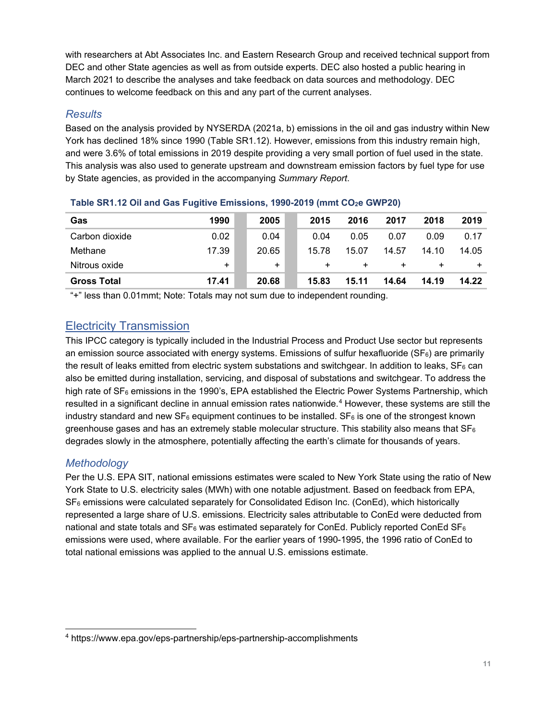with researchers at Abt Associates Inc. and Eastern Research Group and received technical support from DEC and other State agencies as well as from outside experts. DEC also hosted a public hearing in March 2021 to describe the analyses and take feedback on data sources and methodology. DEC continues to welcome feedback on this and any part of the current analyses.

# *Results*

Based on the analysis provided by NYSERDA (2021a, b) emissions in the oil and gas industry within New York has declined 18% since 1990 (Table SR1.12). However, emissions from this industry remain high, and were 3.6% of total emissions in 2019 despite providing a very small portion of fuel used in the state. This analysis was also used to generate upstream and downstream emission factors by fuel type for use by State agencies, as provided in the accompanying *Summary Report*.

| Gas                | 1990      | 2005  | 2015      | 2016  | 2017  | 2018   | 2019  |
|--------------------|-----------|-------|-----------|-------|-------|--------|-------|
| Carbon dioxide     | 0.02      | 0.04  | 0.04      | 0.05  | 0.07  | 0.09   | 0.17  |
| Methane            | 17.39     | 20.65 | 15.78     | 15.07 | 14.57 | 14.10  | 14.05 |
| Nitrous oxide      | $\ddot{}$ | $\pm$ | $\ddot{}$ | +     | ÷     | $\div$ | $\pm$ |
| <b>Gross Total</b> | 17.41     | 20.68 | 15.83     | 15.11 | 14.64 | 14.19  | 14.22 |

#### <span id="page-12-1"></span>**Table SR1.12 Oil and Gas Fugitive Emissions, 1990-2019 (mmt CO2e GWP20)**

"+" less than 0.01mmt; Note: Totals may not sum due to independent rounding.

# <span id="page-12-0"></span>Electricity Transmission

This IPCC category is typically included in the Industrial Process and Product Use sector but represents an emission source associated with energy systems. Emissions of sulfur hexafluoride ( $SF<sub>6</sub>$ ) are primarily the result of leaks emitted from electric system substations and switchgear. In addition to leaks,  $SF<sub>6</sub>$  can also be emitted during installation, servicing, and disposal of substations and switchgear. To address the high rate of SF<sub>6</sub> emissions in the 1990's, EPA established the Electric Power Systems Partnership, which resulted in a significant decline in annual emission rates nationwide.<sup>[4](#page-12-2)</sup> However, these systems are still the industry standard and new  $SF_6$  equipment continues to be installed.  $SF_6$  is one of the strongest known greenhouse gases and has an extremely stable molecular structure. This stability also means that  $SF<sub>6</sub>$ degrades slowly in the atmosphere, potentially affecting the earth's climate for thousands of years.

## *Methodology*

Per the U.S. EPA SIT, national emissions estimates were scaled to New York State using the ratio of New York State to U.S. electricity sales (MWh) with one notable adjustment. Based on feedback from EPA,  $SF<sub>6</sub>$  emissions were calculated separately for Consolidated Edison Inc. (ConEd), which historically represented a large share of U.S. emissions. Electricity sales attributable to ConEd were deducted from national and state totals and  $SF_6$  was estimated separately for ConEd. Publicly reported ConEd  $SF_6$ emissions were used, where available. For the earlier years of 1990-1995, the 1996 ratio of ConEd to total national emissions was applied to the annual U.S. emissions estimate.

<span id="page-12-2"></span><sup>4</sup> https://www.epa.gov/eps-partnership/eps-partnership-accomplishments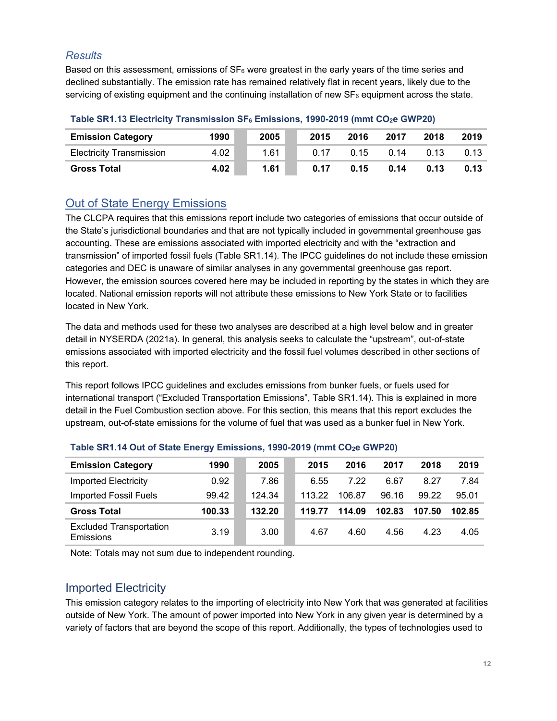## *Results*

Based on this assessment, emissions of  $SF_6$  were greatest in the early years of the time series and declined substantially. The emission rate has remained relatively flat in recent years, likely due to the servicing of existing equipment and the continuing installation of new  $SF<sub>6</sub>$  equipment across the state.

| <b>Emission Category</b>        | 1990 | 2005 | 2015 | 2016 | 2017 | 2018 | 2019 |
|---------------------------------|------|------|------|------|------|------|------|
| <b>Electricity Transmission</b> | 4.02 | 1.61 | 0.17 | 0.15 | 0.14 | 0.13 |      |
| <b>Gross Total</b>              | 4.02 | 1.61 | 0.17 | 0.15 | 0.14 | 0.13 | 0.13 |

#### <span id="page-13-2"></span>**Table SR1.13 Electricity Transmission SF6 Emissions, 1990-2019 (mmt CO2e GWP20)**

# <span id="page-13-0"></span>Out of State Energy Emissions

The CLCPA requires that this emissions report include two categories of emissions that occur outside of the State's jurisdictional boundaries and that are not typically included in governmental greenhouse gas accounting. These are emissions associated with imported electricity and with the "extraction and transmission" of imported fossil fuels (Table SR1.14). The IPCC guidelines do not include these emission categories and DEC is unaware of similar analyses in any governmental greenhouse gas report. However, the emission sources covered here may be included in reporting by the states in which they are located. National emission reports will not attribute these emissions to New York State or to facilities located in New York.

The data and methods used for these two analyses are described at a high level below and in greater detail in NYSERDA (2021a). In general, this analysis seeks to calculate the "upstream", out-of-state emissions associated with imported electricity and the fossil fuel volumes described in other sections of this report.

This report follows IPCC guidelines and excludes emissions from bunker fuels, or fuels used for international transport ("Excluded Transportation Emissions", Table SR1.14). This is explained in more detail in the Fuel Combustion section above. For this section, this means that this report excludes the upstream, out-of-state emissions for the volume of fuel that was used as a bunker fuel in New York.

| <b>Emission Category</b>                    | 1990   | 2005   | 2015   | 2016   | 2017   | 2018   | 2019   |
|---------------------------------------------|--------|--------|--------|--------|--------|--------|--------|
| Imported Electricity                        | 0.92   | 7.86   | 6.55   | 7.22   | 6.67   | 8.27   | 7.84   |
| Imported Fossil Fuels                       | 99.42  | 124.34 | 113.22 | 106.87 | 96.16  | 99.22  | 95.01  |
| <b>Gross Total</b>                          | 100.33 | 132.20 | 119.77 | 114.09 | 102.83 | 107.50 | 102.85 |
| <b>Excluded Transportation</b><br>Emissions | 3.19   | 3.00   | 4.67   | 4.60   | 4.56   | 4.23   | 4.05   |

#### <span id="page-13-3"></span>**Table SR1.14 Out of State Energy Emissions, 1990-2019 (mmt CO2e GWP20)**

Note: Totals may not sum due to independent rounding.

# <span id="page-13-1"></span>Imported Electricity

This emission category relates to the importing of electricity into New York that was generated at facilities outside of New York. The amount of power imported into New York in any given year is determined by a variety of factors that are beyond the scope of this report. Additionally, the types of technologies used to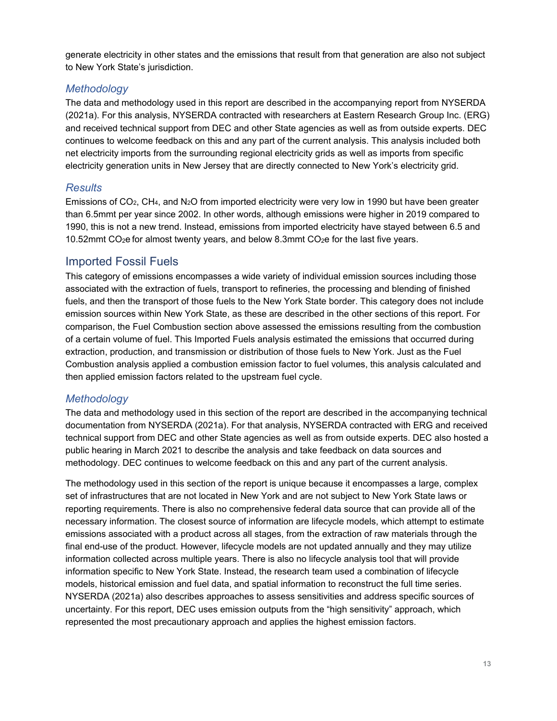generate electricity in other states and the emissions that result from that generation are also not subject to New York State's jurisdiction.

#### *Methodology*

The data and methodology used in this report are described in the accompanying report from NYSERDA (2021a). For this analysis, NYSERDA contracted with researchers at Eastern Research Group Inc. (ERG) and received technical support from DEC and other State agencies as well as from outside experts. DEC continues to welcome feedback on this and any part of the current analysis. This analysis included both net electricity imports from the surrounding regional electricity grids as well as imports from specific electricity generation units in New Jersey that are directly connected to New York's electricity grid.

## *Results*

Emissions of CO2, CH4, and N2O from imported electricity were very low in 1990 but have been greater than 6.5mmt per year since 2002. In other words, although emissions were higher in 2019 compared to 1990, this is not a new trend. Instead, emissions from imported electricity have stayed between 6.5 and 10.52mmt  $CO<sub>2</sub>e$  for almost twenty years, and below 8.3mmt  $CO<sub>2</sub>e$  for the last five years.

# <span id="page-14-0"></span>Imported Fossil Fuels

This category of emissions encompasses a wide variety of individual emission sources including those associated with the extraction of fuels, transport to refineries, the processing and blending of finished fuels, and then the transport of those fuels to the New York State border. This category does not include emission sources within New York State, as these are described in the other sections of this report. For comparison, the Fuel Combustion section above assessed the emissions resulting from the combustion of a certain volume of fuel. This Imported Fuels analysis estimated the emissions that occurred during extraction, production, and transmission or distribution of those fuels to New York. Just as the Fuel Combustion analysis applied a combustion emission factor to fuel volumes, this analysis calculated and then applied emission factors related to the upstream fuel cycle.

## *Methodology*

The data and methodology used in this section of the report are described in the accompanying technical documentation from NYSERDA (2021a). For that analysis, NYSERDA contracted with ERG and received technical support from DEC and other State agencies as well as from outside experts. DEC also hosted a public hearing in March 2021 to describe the analysis and take feedback on data sources and methodology. DEC continues to welcome feedback on this and any part of the current analysis.

The methodology used in this section of the report is unique because it encompasses a large, complex set of infrastructures that are not located in New York and are not subject to New York State laws or reporting requirements. There is also no comprehensive federal data source that can provide all of the necessary information. The closest source of information are lifecycle models, which attempt to estimate emissions associated with a product across all stages, from the extraction of raw materials through the final end-use of the product. However, lifecycle models are not updated annually and they may utilize information collected across multiple years. There is also no lifecycle analysis tool that will provide information specific to New York State. Instead, the research team used a combination of lifecycle models, historical emission and fuel data, and spatial information to reconstruct the full time series. NYSERDA (2021a) also describes approaches to assess sensitivities and address specific sources of uncertainty. For this report, DEC uses emission outputs from the "high sensitivity" approach, which represented the most precautionary approach and applies the highest emission factors.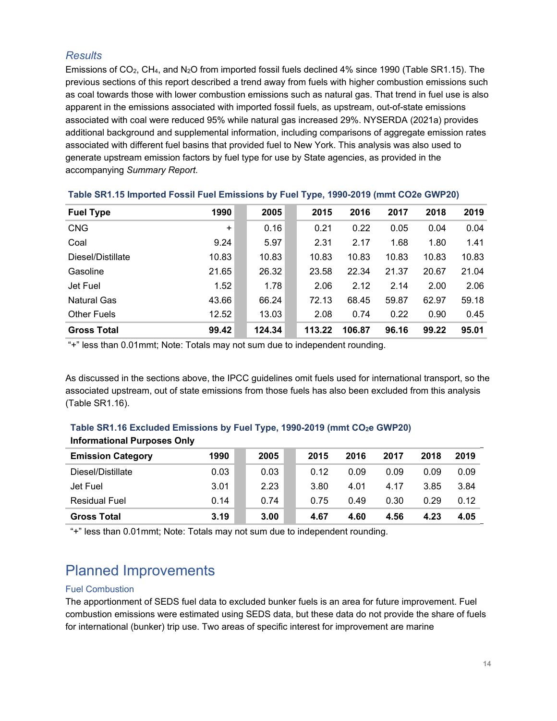#### *Results*

Emissions of CO<sub>2</sub>, CH<sub>4</sub>, and N<sub>2</sub>O from imported fossil fuels declined 4% since 1990 (Table SR1.15). The previous sections of this report described a trend away from fuels with higher combustion emissions such as coal towards those with lower combustion emissions such as natural gas. That trend in fuel use is also apparent in the emissions associated with imported fossil fuels, as upstream, out-of-state emissions associated with coal were reduced 95% while natural gas increased 29%. NYSERDA (2021a) provides additional background and supplemental information, including comparisons of aggregate emission rates associated with different fuel basins that provided fuel to New York. This analysis was also used to generate upstream emission factors by fuel type for use by State agencies, as provided in the accompanying *Summary Report*.

| <b>Fuel Type</b>   | 1990      | 2005   | 2015   | 2016   | 2017  | 2018  | 2019  |
|--------------------|-----------|--------|--------|--------|-------|-------|-------|
| <b>CNG</b>         | $\ddot{}$ | 0.16   | 0.21   | 0.22   | 0.05  | 0.04  | 0.04  |
| Coal               | 9.24      | 5.97   | 2.31   | 2.17   | 1.68  | 1.80  | 1.41  |
| Diesel/Distillate  | 10.83     | 10.83  | 10.83  | 10.83  | 10.83 | 10.83 | 10.83 |
| Gasoline           | 21.65     | 26.32  | 23.58  | 22.34  | 21.37 | 20.67 | 21.04 |
| Jet Fuel           | 1.52      | 1.78   | 2.06   | 2.12   | 2.14  | 2.00  | 2.06  |
| <b>Natural Gas</b> | 43.66     | 66.24  | 72.13  | 68.45  | 59.87 | 62.97 | 59.18 |
| <b>Other Fuels</b> | 12.52     | 13.03  | 2.08   | 0.74   | 0.22  | 0.90  | 0.45  |
| <b>Gross Total</b> | 99.42     | 124.34 | 113.22 | 106.87 | 96.16 | 99.22 | 95.01 |

#### <span id="page-15-1"></span>**Table SR1.15 Imported Fossil Fuel Emissions by Fuel Type, 1990-2019 (mmt CO2e GWP20)**

"+" less than 0.01mmt; Note: Totals may not sum due to independent rounding.

As discussed in the sections above, the IPCC guidelines omit fuels used for international transport, so the associated upstream, out of state emissions from those fuels has also been excluded from this analysis (Table SR1.16).

## <span id="page-15-2"></span>**Table SR1.16 Excluded Emissions by Fuel Type, 1990-2019 (mmt CO2e GWP20) Informational Purposes Only**

| <b>Emission Category</b> | 1990 | 2005 | 2015 | 2016 | 2017 | 2018 | 2019 |
|--------------------------|------|------|------|------|------|------|------|
| Diesel/Distillate        | 0.03 | 0.03 | 0.12 | 0.09 | 0.09 | 0.09 | 0.09 |
| Jet Fuel                 | 3.01 | 2.23 | 3.80 | 4.01 | 4.17 | 3.85 | 3.84 |
| <b>Residual Fuel</b>     | 0.14 | 0.74 | 0.75 | 0.49 | 0.30 | 0.29 | 0.12 |
| <b>Gross Total</b>       | 3.19 | 3.00 | 4.67 | 4.60 | 4.56 | 4.23 | 4.05 |

"+" less than 0.01mmt; Note: Totals may not sum due to independent rounding.

# <span id="page-15-0"></span>Planned Improvements

#### Fuel Combustion

The apportionment of SEDS fuel data to excluded bunker fuels is an area for future improvement. Fuel combustion emissions were estimated using SEDS data, but these data do not provide the share of fuels for international (bunker) trip use. Two areas of specific interest for improvement are marine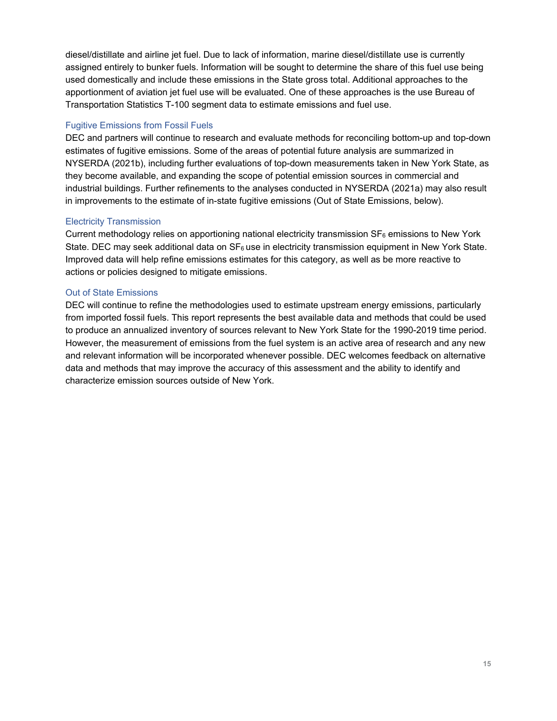diesel/distillate and airline jet fuel. Due to lack of information, marine diesel/distillate use is currently assigned entirely to bunker fuels. Information will be sought to determine the share of this fuel use being used domestically and include these emissions in the State gross total. Additional approaches to the apportionment of aviation jet fuel use will be evaluated. One of these approaches is the use Bureau of Transportation Statistics T-100 segment data to estimate emissions and fuel use.

#### Fugitive Emissions from Fossil Fuels

DEC and partners will continue to research and evaluate methods for reconciling bottom-up and top-down estimates of fugitive emissions. Some of the areas of potential future analysis are summarized in NYSERDA (2021b), including further evaluations of top-down measurements taken in New York State, as they become available, and expanding the scope of potential emission sources in commercial and industrial buildings. Further refinements to the analyses conducted in NYSERDA (2021a) may also result in improvements to the estimate of in-state fugitive emissions (Out of State Emissions, below).

#### Electricity Transmission

Current methodology relies on apportioning national electricity transmission  $SF<sub>6</sub>$  emissions to New York State. DEC may seek additional data on  $SF<sub>6</sub>$  use in electricity transmission equipment in New York State. Improved data will help refine emissions estimates for this category, as well as be more reactive to actions or policies designed to mitigate emissions.

#### Out of State Emissions

DEC will continue to refine the methodologies used to estimate upstream energy emissions, particularly from imported fossil fuels. This report represents the best available data and methods that could be used to produce an annualized inventory of sources relevant to New York State for the 1990-2019 time period. However, the measurement of emissions from the fuel system is an active area of research and any new and relevant information will be incorporated whenever possible. DEC welcomes feedback on alternative data and methods that may improve the accuracy of this assessment and the ability to identify and characterize emission sources outside of New York.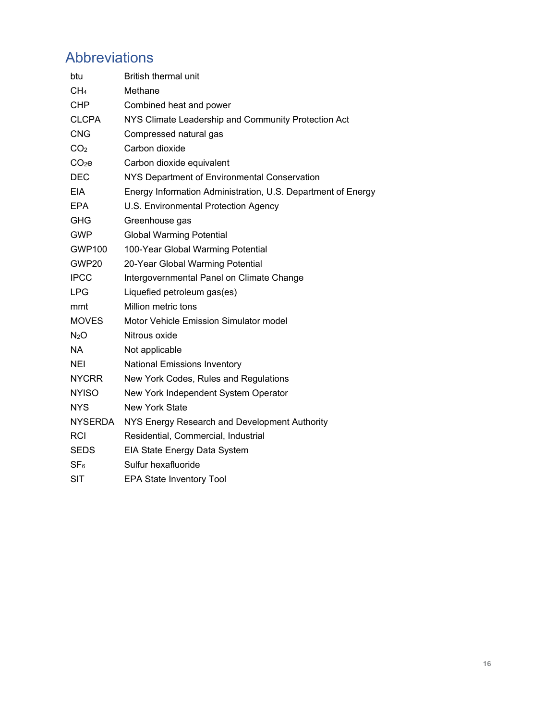# <span id="page-17-0"></span>Abbreviations

| btu               | <b>British thermal unit</b>                                  |
|-------------------|--------------------------------------------------------------|
| CH <sub>4</sub>   | Methane                                                      |
| <b>CHP</b>        | Combined heat and power                                      |
| <b>CLCPA</b>      | NYS Climate Leadership and Community Protection Act          |
| <b>CNG</b>        | Compressed natural gas                                       |
| CO <sub>2</sub>   | Carbon dioxide                                               |
| CO <sub>2</sub> e | Carbon dioxide equivalent                                    |
| <b>DEC</b>        | NYS Department of Environmental Conservation                 |
| <b>EIA</b>        | Energy Information Administration, U.S. Department of Energy |
| <b>EPA</b>        | U.S. Environmental Protection Agency                         |
| <b>GHG</b>        | Greenhouse gas                                               |
| <b>GWP</b>        | <b>Global Warming Potential</b>                              |
| <b>GWP100</b>     | 100-Year Global Warming Potential                            |
| GWP20             | 20-Year Global Warming Potential                             |
| <b>IPCC</b>       | Intergovernmental Panel on Climate Change                    |
| <b>LPG</b>        | Liquefied petroleum gas(es)                                  |
| mmt               | Million metric tons                                          |
| <b>MOVES</b>      | <b>Motor Vehicle Emission Simulator model</b>                |
| N <sub>2</sub> O  | Nitrous oxide                                                |
| <b>NA</b>         | Not applicable                                               |
| NEI               | <b>National Emissions Inventory</b>                          |
| <b>NYCRR</b>      | New York Codes, Rules and Regulations                        |
| <b>NYISO</b>      | New York Independent System Operator                         |
| <b>NYS</b>        | <b>New York State</b>                                        |
| <b>NYSERDA</b>    | NYS Energy Research and Development Authority                |
| RCI               | Residential, Commercial, Industrial                          |
| <b>SEDS</b>       | EIA State Energy Data System                                 |
| SF <sub>6</sub>   | Sulfur hexafluoride                                          |
| <b>SIT</b>        | <b>EPA State Inventory Tool</b>                              |